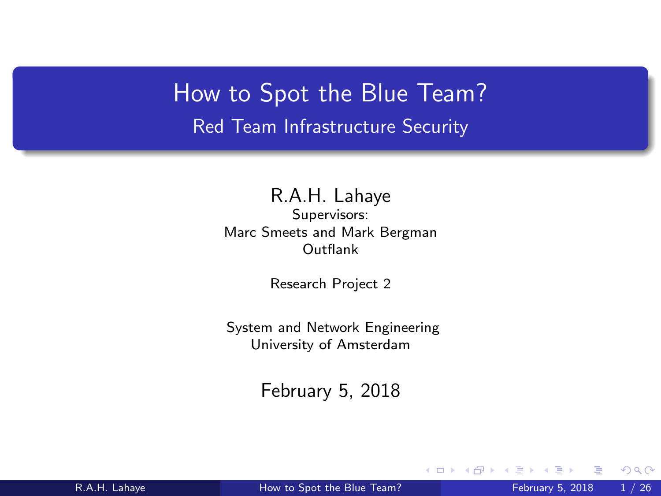<span id="page-0-0"></span>How to Spot the Blue Team? Red Team Infrastructure Security

> R.A.H. Lahaye Supervisors: Marc Smeets and Mark Bergman Outflank

> > Research Project 2

System and Network Engineering University of Amsterdam

February 5, 2018

4 **D** F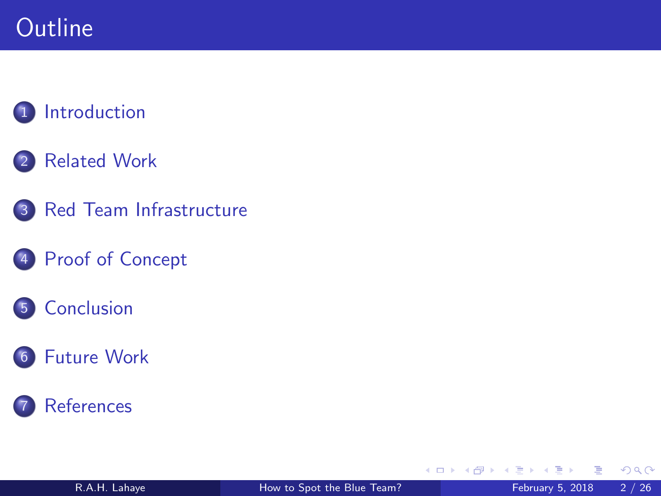# <span id="page-1-0"></span>**Outline**

## **[Introduction](#page-2-0)**

## 2 [Related Work](#page-5-0)

3 [Red Team Infrastructure](#page-7-0)

## 4 [Proof of Concept](#page-9-0)



## 6 [Future Work](#page-23-0)

## **[References](#page-25-0)**

4 0 8

 $\rightarrow$ 

э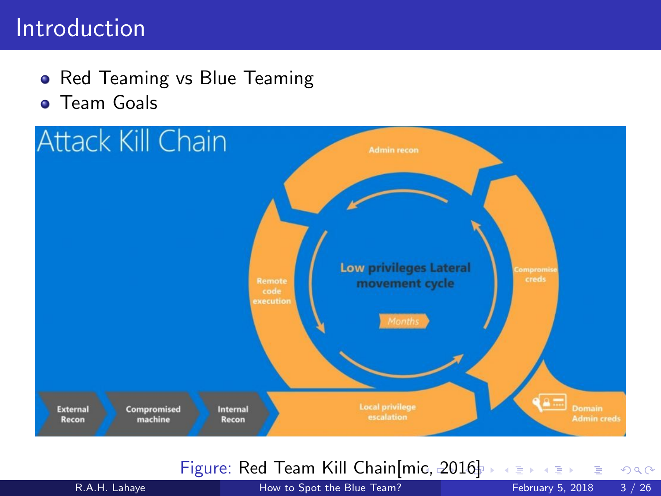## <span id="page-2-0"></span>Introduction

• Red Teaming vs Blue Teaming **• Team Goals** 



#### Figure: Red Team Kill Chain[\[mic, 2016](#page-25-1)[\]](#page-2-0)

 $QQ$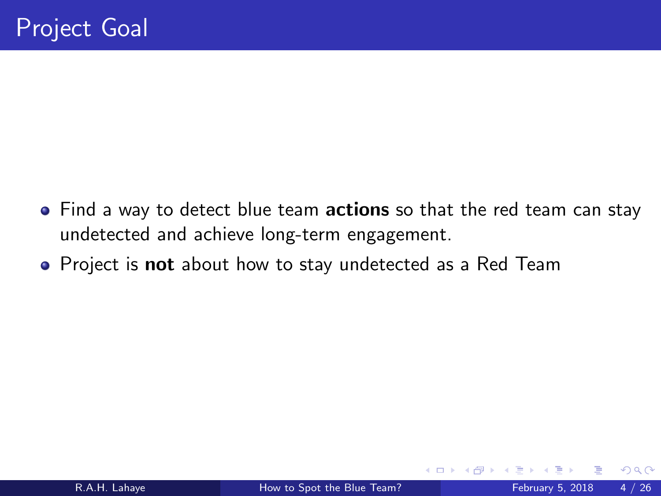- <span id="page-3-0"></span>• Find a way to detect blue team **actions** so that the red team can stay undetected and achieve long-term engagement.
- Project is **not** about how to stay undetected as a Red Team

 $\leftarrow$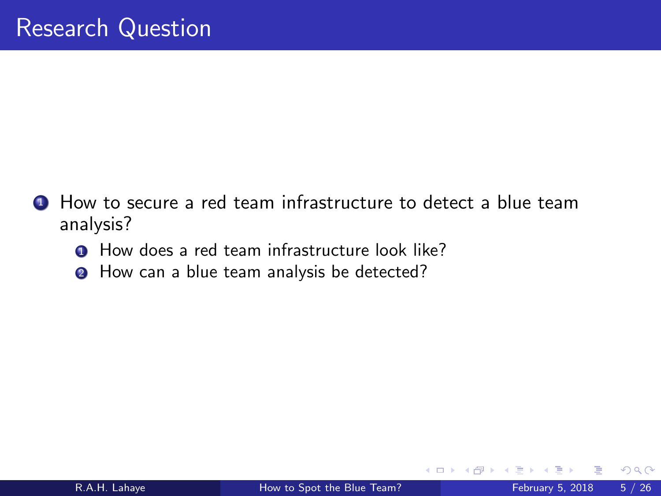- **1** How to secure a red team infrastructure to detect a blue team analysis?
	- **1** How does a red team infrastructure look like?
	- **2** How can a blue team analysis be detected?

**∢ ⊡**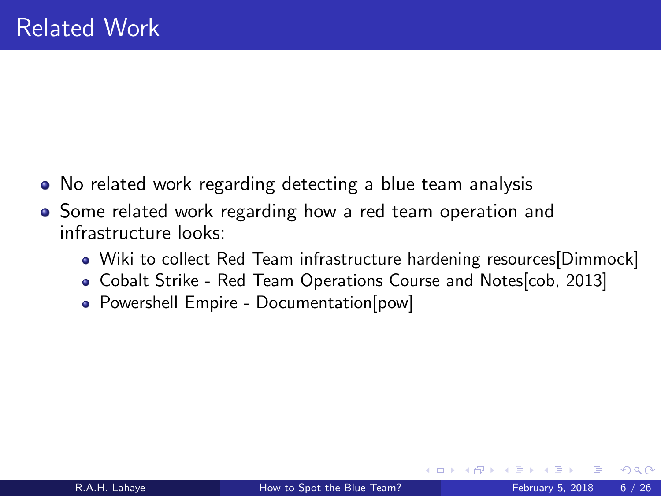- <span id="page-5-0"></span>No related work regarding detecting a blue team analysis
- Some related work regarding how a red team operation and infrastructure looks:
	- Wiki to collect Red Team infrastructure hardening resources [\[Dimmock\]](#page-25-2)
	- Cobalt Strike Red Team Operations Course and Notes[\[cob, 2013\]](#page-25-3)
	- Powershell Empire Documentation[\[pow\]](#page-25-4)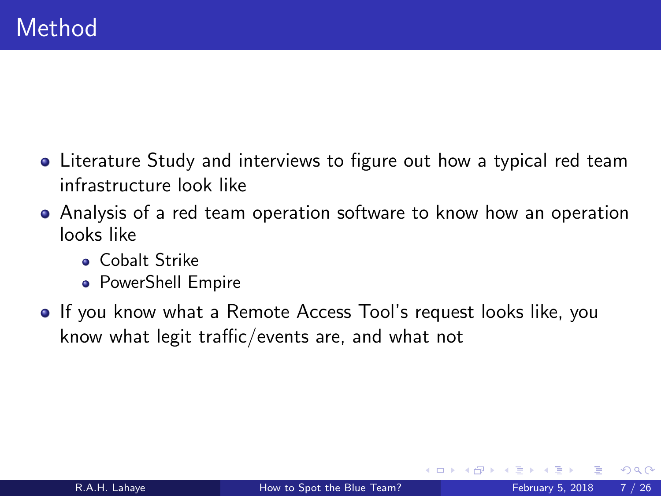- Literature Study and interviews to figure out how a typical red team infrastructure look like
- Analysis of a red team operation software to know how an operation looks like
	- **.** Cobalt Strike
	- PowerShell Empire
- If you know what a Remote Access Tool's request looks like, you know what legit traffic/events are, and what not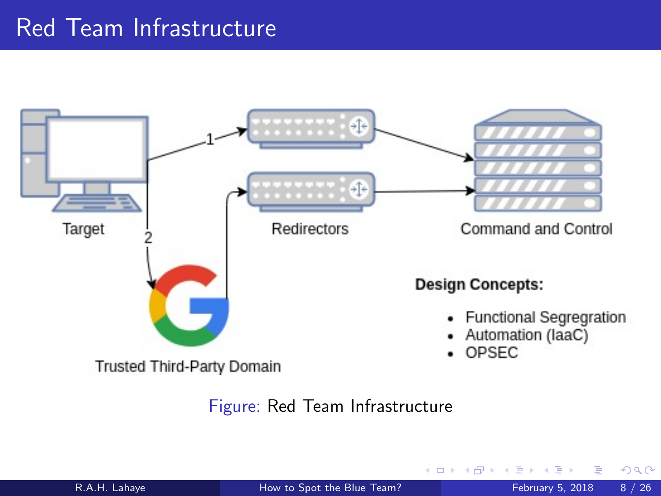# <span id="page-7-0"></span>Red Team Infrastructure



Figure: Red Team Infrastructure

4 0 8

 $QQ$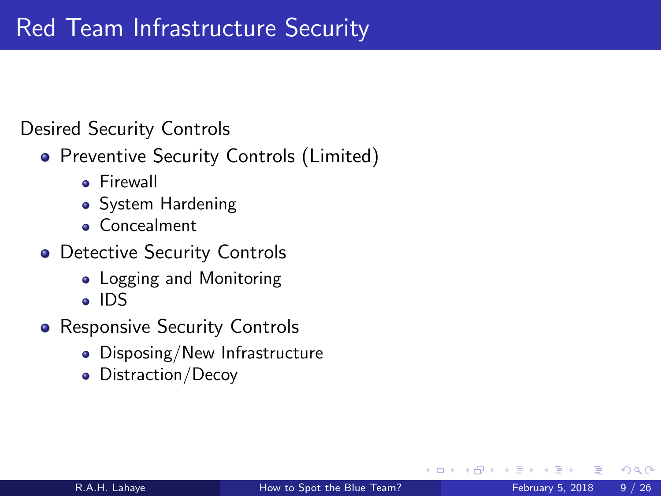### <span id="page-8-0"></span>Desired Security Controls

- Preventive Security Controls (Limited)
	- **P** Firewall
	- System Hardening
	- **Concealment**
- Detective Security Controls
	- Logging and Monitoring
	- IDS
- Responsive Security Controls
	- Disposing/New Infrastructure
	- Distraction/Decoy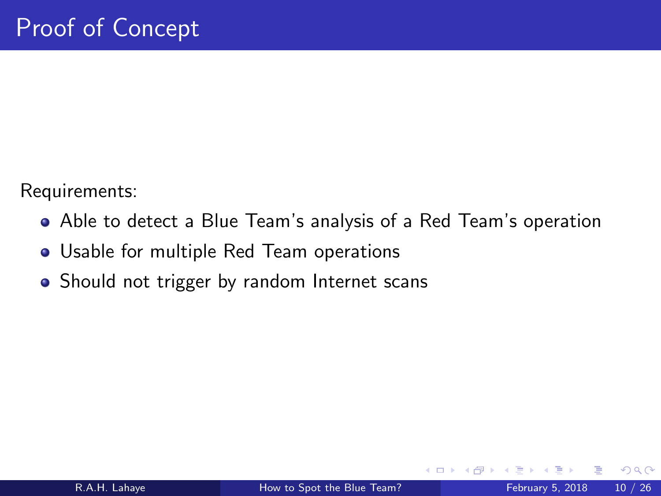<span id="page-9-0"></span>Requirements:

- Able to detect a Blue Team's analysis of a Red Team's operation
- Usable for multiple Red Team operations
- Should not trigger by random Internet scans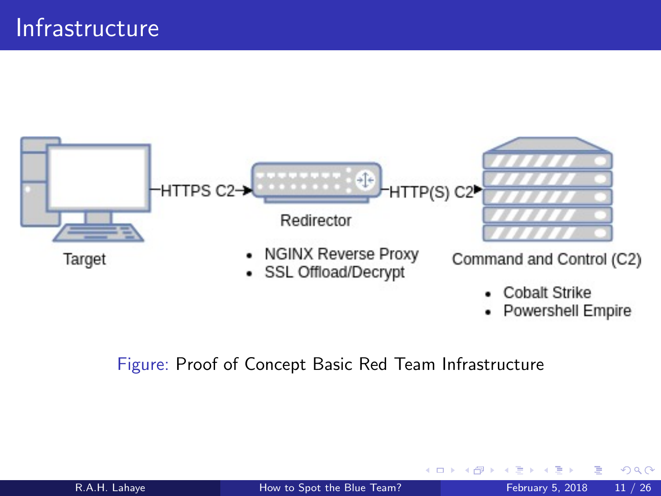

#### Figure: Proof of Concept Basic Red Team Infrastructure

 $QQ$ 

.

 $\leftarrow$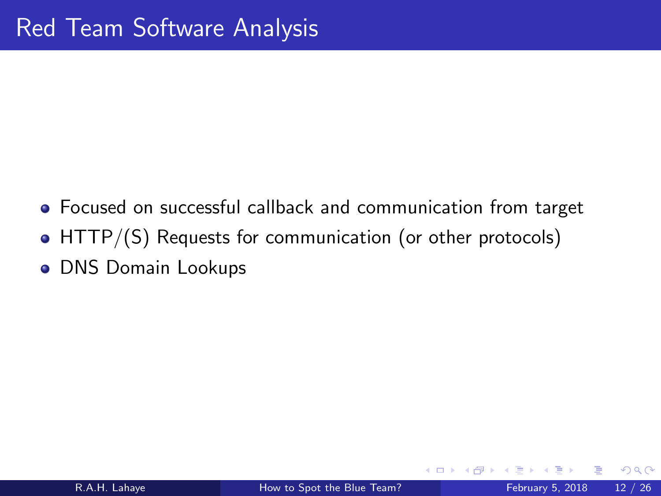- Focused on successful callback and communication from target
- HTTP/(S) Requests for communication (or other protocols)
- **o** DNS Domain Lookups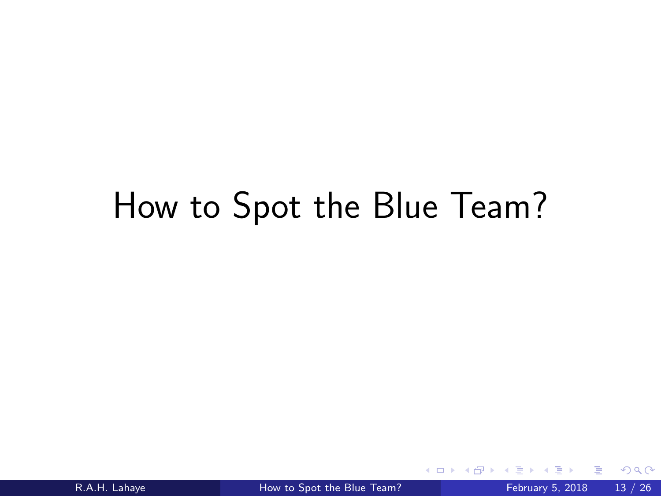# How to Spot the Blue Team?

4 0 8

 $QQ$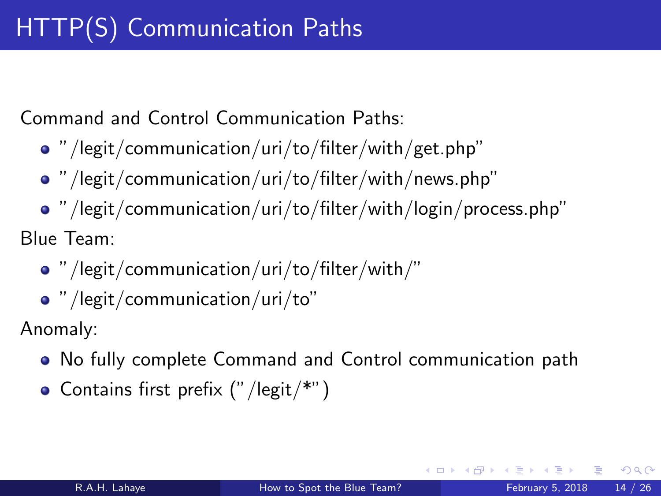Command and Control Communication Paths:

- "/legit/communication/uri/to/filter/with/get.php"
- "/legit/communication/uri/to/filter/with/news.php"
- "/legit/communication/uri/to/filter/with/login/process.php"

Blue Team:

- "/legit/communication/uri/to/filter/with/"
- "/legit/communication/uri/to"

Anomaly:

- No fully complete Command and Control communication path
- $\bullet$  Contains first prefix ("/legit/\*")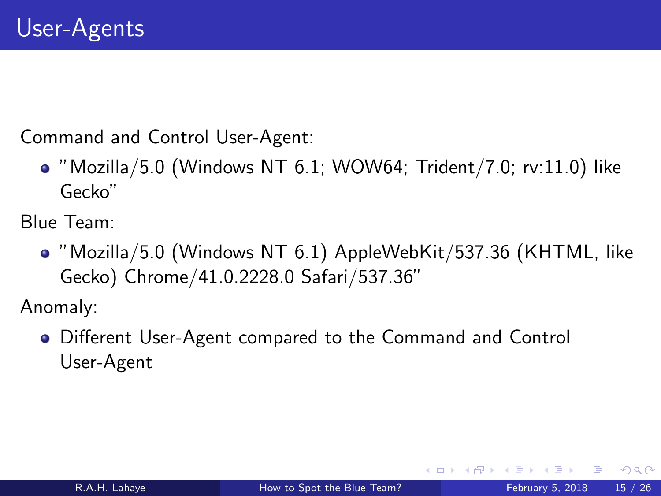Command and Control User-Agent:

 $\bullet$  "Mozilla/5.0 (Windows NT 6.1; WOW64; Trident/7.0; rv:11.0) like Gecko"

Blue Team:

"Mozilla/5.0 (Windows NT 6.1) AppleWebKit/537.36 (KHTML, like Gecko) Chrome/41.0.2228.0 Safari/537.36"

Anomaly:

Different User-Agent compared to the Command and Control User-Agent

4 **D** F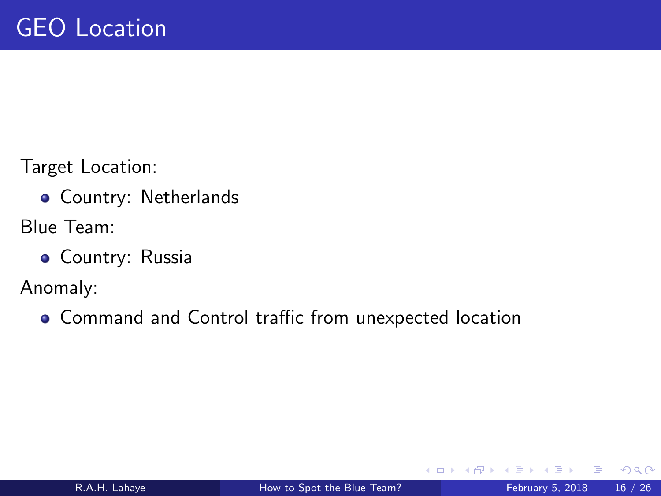Target Location:

- **Country: Netherlands**
- Blue Team:
	- **Country: Russia**

Anomaly:

Command and Control traffic from unexpected location

 $\leftarrow$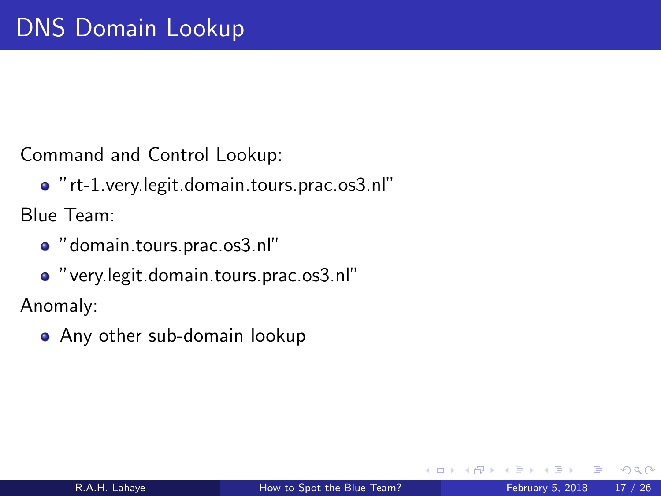Command and Control Lookup:

"rt-1.very.legit.domain.tours.prac.os3.nl"

Blue Team:

"domain.tours.prac.os3.nl"

"very.legit.domain.tours.prac.os3.nl"

Anomaly:

• Any other sub-domain lookup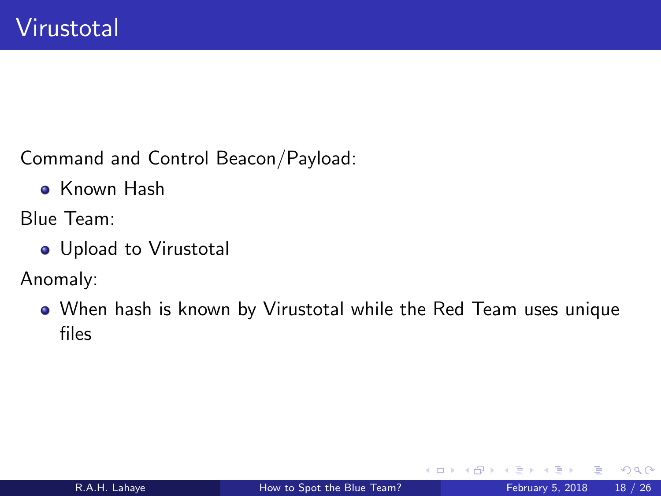<span id="page-17-0"></span>Command and Control Beacon/Payload:

**• Known Hash** 

Blue Team:

Upload to Virustotal

Anomaly:

When hash is known by Virustotal while the Red Team uses unique files

 $\leftarrow$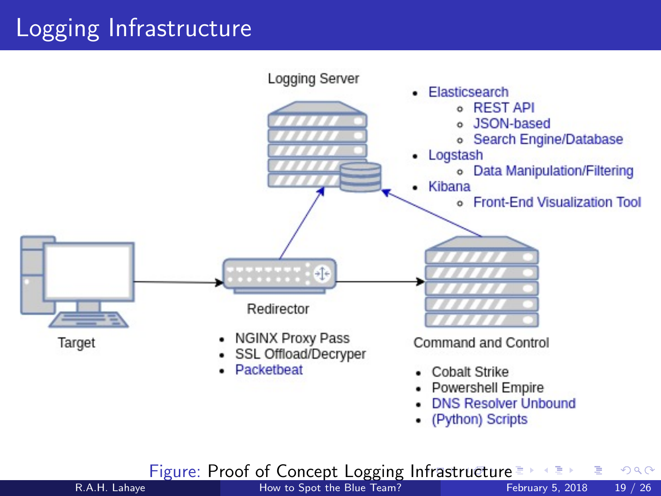# <span id="page-18-0"></span>Logging Infrastructure



• (Python) Scripts

Figure: Proof of Concept Logging I[nfr](#page-17-0)a[st](#page-19-0)[ru](#page-17-0)[ct](#page-18-0)[u](#page-19-0)[re](#page-8-0)  $\frac{1}{2}$   $\frac{1}{2}$   $\frac{1}{2}$  and How to Spot the Blue Team?

R.A.H. Lahave **[How to Spot the Blue Team?](#page-0-0)** February 5, 2018 19 / 26

目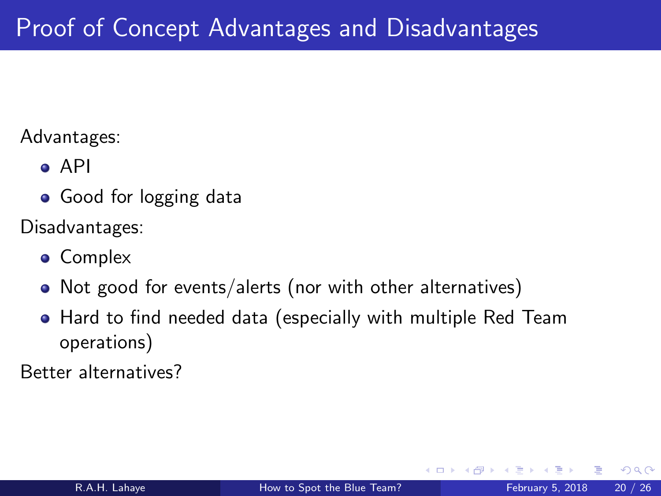#### <span id="page-19-0"></span>Advantages:

- API
- Good for logging data

Disadvantages:

- **•** Complex
- Not good for events/alerts (nor with other alternatives)
- Hard to find needed data (especially with multiple Red Team operations)

Better alternatives?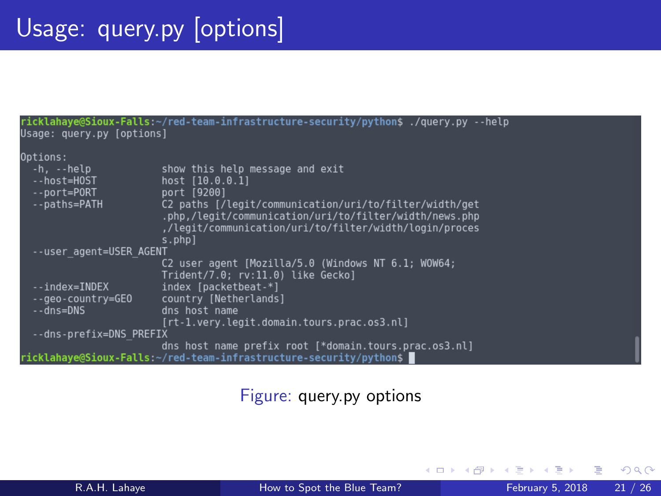| ricklahaye@Sioux-Falls:~/red-team-infrastructure-security/python\$ ./query.py --help<br>Usage: query.py [options] |                                                                                                                                                                                      |
|-------------------------------------------------------------------------------------------------------------------|--------------------------------------------------------------------------------------------------------------------------------------------------------------------------------------|
| Options:                                                                                                          |                                                                                                                                                                                      |
| -h, --help<br>--host=HOST<br>--port=PORT                                                                          | show this help message and exit<br>host [10.0.0.1]<br>port [9200]                                                                                                                    |
| --paths=PATH                                                                                                      | C2 paths [/legit/communication/uri/to/filter/width/get<br>.php./legit/communication/uri/to/filter/width/news.php<br>,/legit/communication/uri/to/filter/width/login/proces<br>s.phpl |
| --user agent=USER AGENT                                                                                           |                                                                                                                                                                                      |
|                                                                                                                   | C2 user agent [Mozilla/5.0 (Windows NT 6.1: WOW64;<br>Trident/7.0; rv:11.0) like Gecko]                                                                                              |
| --index=INDEX                                                                                                     | index [packetbeat-*]                                                                                                                                                                 |
| -- aeo-country=GEO                                                                                                | country [Netherlands]                                                                                                                                                                |
| --dns=DNS                                                                                                         | dns host name                                                                                                                                                                        |
|                                                                                                                   | [rt-1.very.legit.domain.tours.prac.os3.nl]                                                                                                                                           |
| --dns-prefix=DNS PREFIX                                                                                           |                                                                                                                                                                                      |
|                                                                                                                   | dns host name prefix root [*domain.tours.prac.os3.nl]                                                                                                                                |
| ricklahaye@Sioux-Falls:~/red-team-infrastructure-security/python\$ ▌                                              |                                                                                                                                                                                      |

#### Figure: query.py options

4 0 8

 $\rightarrow$ 

活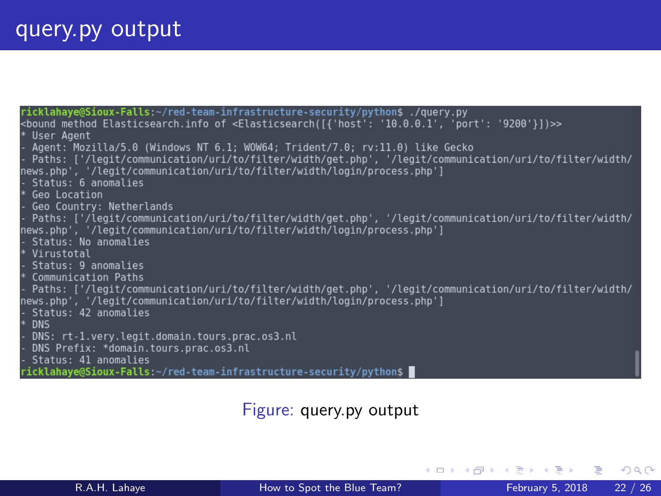| ricklahaye@Sioux-Falls:~/red-team-infrastructure-security/python\$ ./query.py                                                    |
|----------------------------------------------------------------------------------------------------------------------------------|
| <bound '10.0.0.1',="" '9200'}])="" 'port':="" <elasticsearch([{'host':="" elasticsearch.info="" method="" of="">&gt;&gt;</bound> |
| * User Agent                                                                                                                     |
| - Agent: Mozilla/5.0 (Windows NT 6.1; WOW64; Trident/7.0; <u>rv:11.0)</u> like Gecko                                             |
| - Paths: ['/legit/communication/uri/to/filter/width/get.php', '/legit/communication/uri/to/filter/width/                         |
| news.php', '/legit/communication/uri/to/filter/width/login/process.php']                                                         |
| - Status: 6 anomalies                                                                                                            |
| * Geo Location                                                                                                                   |
|                                                                                                                                  |
| - Geo Country: Netherlands                                                                                                       |
| - Paths: ['/legit/communication/uri/to/filter/width/get.php', '/legit/communication/uri/to/filter/width/                         |
| news.php', '/legit/communication/uri/to/filter/width/login/process.php']                                                         |
| - Status: No anomalies                                                                                                           |
| * Virustotal                                                                                                                     |
| - Status: 9 anomalies                                                                                                            |
| * Communication Paths                                                                                                            |
| - Paths: ['/legit/communication/uri/to/filter/width/get.php', '/legit/communication/uri/to/filter/width/                         |
| news.php', '/legit/communication/uri/to/filter/width/login/process.php']                                                         |
| - Status: 42 anomalies                                                                                                           |
| $*$<br><b>DNS</b>                                                                                                                |
| - DNS: rt-1.very.legit.domain.tours.prac.os3.nl                                                                                  |
|                                                                                                                                  |
| - DNS Prefix: *domain.tours.prac.os3.nl                                                                                          |
| - Status: 41 anomalies                                                                                                           |
| ricklahaye@Sioux-Falls:~/red-team-infrastructure-security/python\$                                                               |

Figure: query.py output

メロメ メ都 メメ きょくきょ

画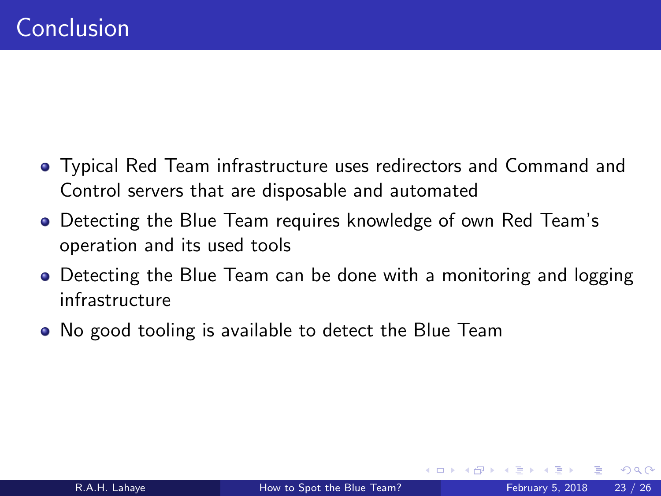- <span id="page-22-0"></span>Typical Red Team infrastructure uses redirectors and Command and Control servers that are disposable and automated
- Detecting the Blue Team requires knowledge of own Red Team's operation and its used tools
- Detecting the Blue Team can be done with a monitoring and logging infrastructure
- No good tooling is available to detect the Blue Team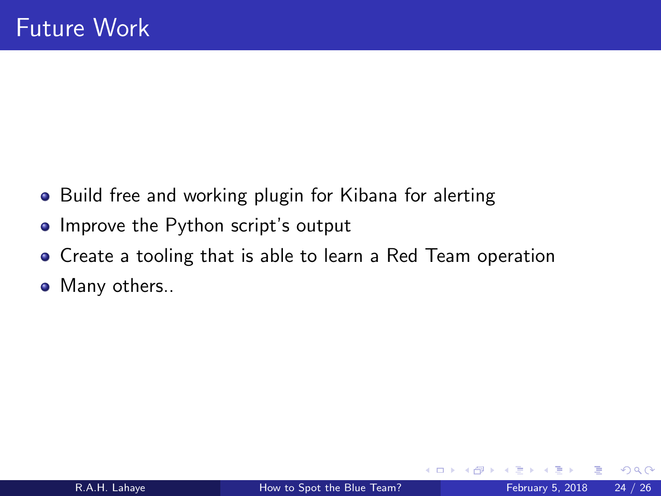- <span id="page-23-0"></span>• Build free and working plugin for Kibana for alerting
- Improve the Python script's output
- Create a tooling that is able to learn a Red Team operation
- Many others..

 $\leftarrow$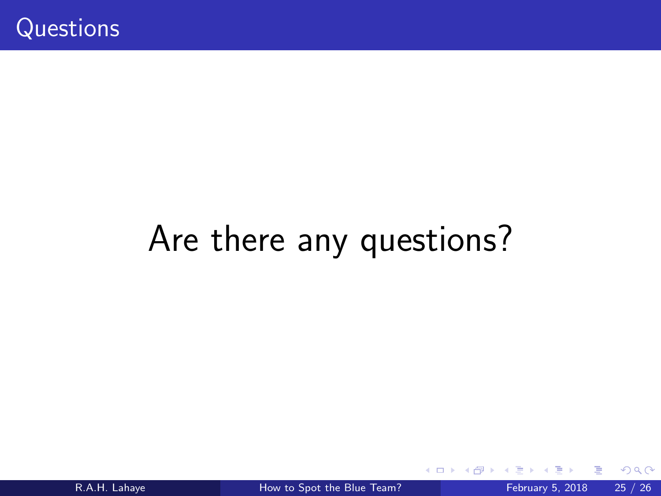# Are there any questions?

4 0 8 a. 同→

R.A.H. Lahaye **[How to Spot the Blue Team?](#page-0-0)** February 5, 2018 25 / 26

目